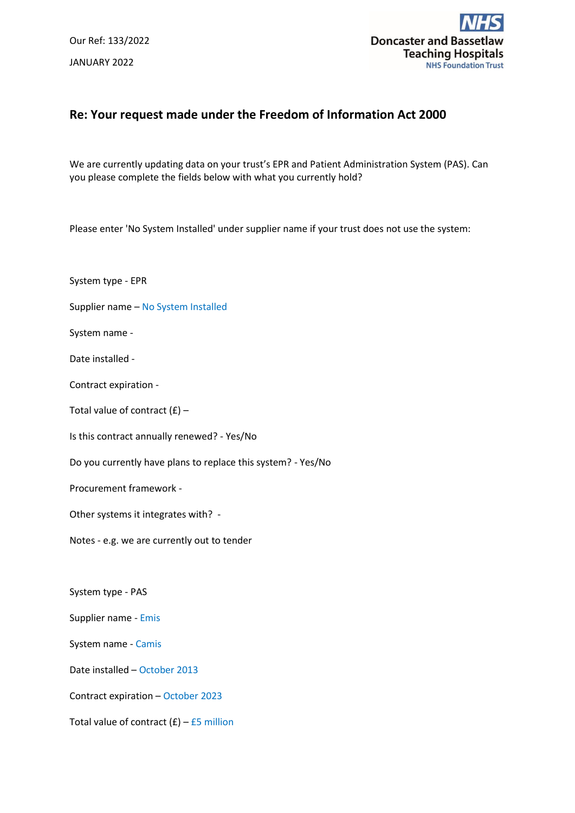Our Ref: 133/2022 JANUARY 2022



## **Re: Your request made under the Freedom of Information Act 2000**

We are currently updating data on your trust's EPR and Patient Administration System (PAS). Can you please complete the fields below with what you currently hold?

Please enter 'No System Installed' under supplier name if your trust does not use the system:

System type - EPR Supplier name – No System Installed System name - Date installed - Contract expiration - Total value of contract  $(E)$  – Is this contract annually renewed? - Yes/No Do you currently have plans to replace this system? - Yes/No Procurement framework - Other systems it integrates with? - Notes - e.g. we are currently out to tender System type - PAS Supplier name - Emis System name - Camis Date installed – October 2013 Contract expiration – October 2023 Total value of contract  $(E)$  – £5 million